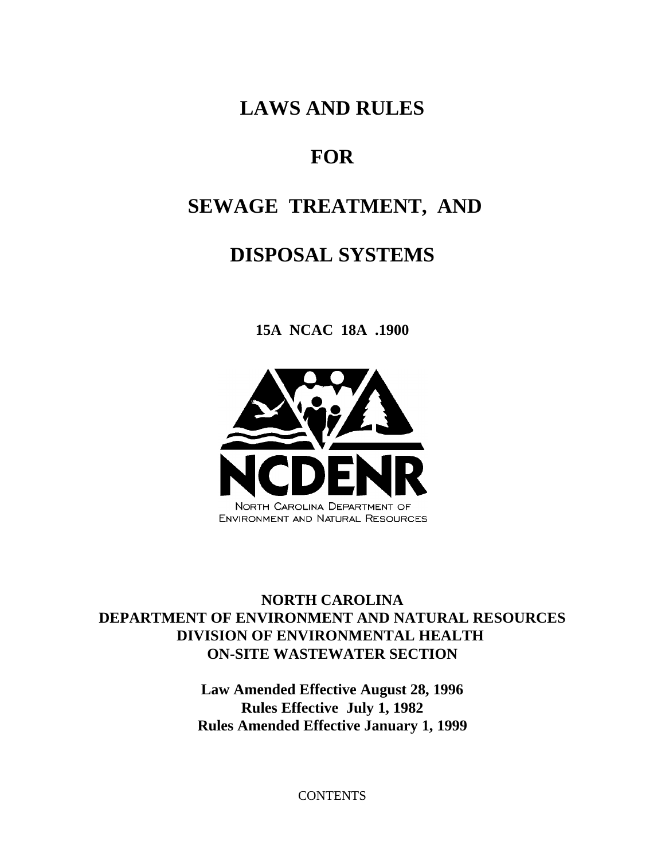**LAWS AND RULES**

# **FOR**

# **SEWAGE TREATMENT, AND**

# **DISPOSAL SYSTEMS**

**15A NCAC 18A .1900**



# **NORTH CAROLINA DEPARTMENT OF ENVIRONMENT AND NATURAL RESOURCES DIVISION OF ENVIRONMENTAL HEALTH ON-SITE WASTEWATER SECTION**

**Law Amended Effective August 28, 1996 Rules Effective July 1, 1982 Rules Amended Effective January 1, 1999**

**CONTENTS**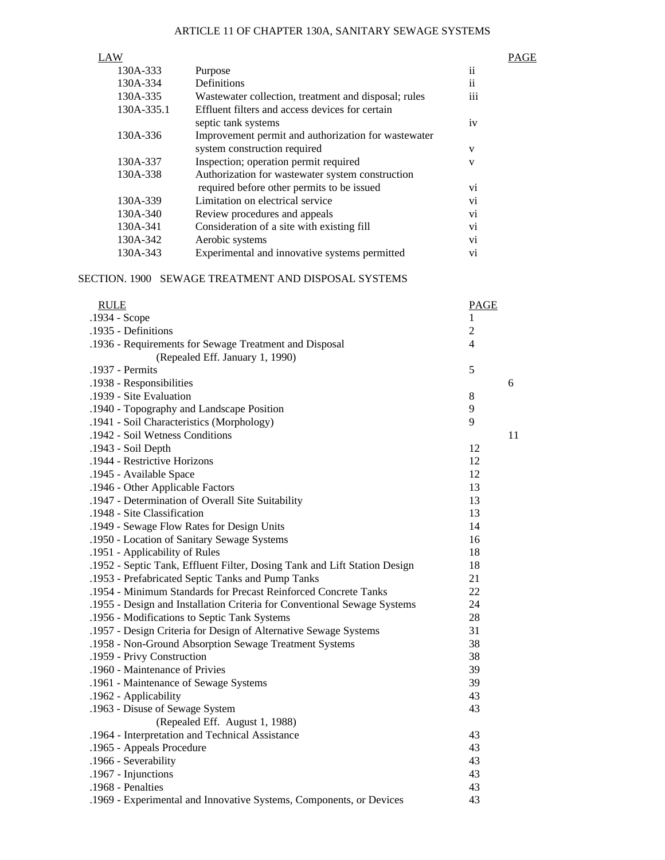| LAW        |                                                      |                      | PAGE |
|------------|------------------------------------------------------|----------------------|------|
| 130A-333   | Purpose                                              | $\cdot \cdot$<br>ÎÎ. |      |
| 130A-334   | Definitions                                          | $\ddotsc$<br>11      |      |
| 130A-335   | Wastewater collection, treatment and disposal; rules | $\cdots$<br>111      |      |
| 130A-335.1 | Effluent filters and access devices for certain      |                      |      |
|            | septic tank systems                                  | iv                   |      |
| 130A-336   | Improvement permit and authorization for wastewater  |                      |      |
|            | system construction required                         | V                    |      |
| 130A-337   | Inspection; operation permit required                | V                    |      |
| 130A-338   | Authorization for wastewater system construction     |                      |      |
|            | required before other permits to be issued           | V1                   |      |
| 130A-339   | Limitation on electrical service                     | V <sub>1</sub>       |      |
| 130A-340   | Review procedures and appeals                        | vi                   |      |
| 130A-341   | Consideration of a site with existing fill           | V1                   |      |
| 130A-342   | Aerobic systems                                      | V <sub>1</sub>       |      |
| 130A-343   | Experimental and innovative systems permitted        | vi                   |      |

# SECTION. 1900 SEWAGE TREATMENT AND DISPOSAL SYSTEMS

| <b>RULE</b>                                                               | <b>PAGE</b>    |                                  |
|---------------------------------------------------------------------------|----------------|----------------------------------|
| .1934 - Scope                                                             | 1              |                                  |
| .1935 - Definitions                                                       | $\overline{c}$ |                                  |
| .1936 - Requirements for Sewage Treatment and Disposal                    | 4              |                                  |
| (Repealed Eff. January 1, 1990)                                           |                |                                  |
| .1937 - Permits                                                           | 5              |                                  |
| .1938 - Responsibilities                                                  |                | 6                                |
| .1939 - Site Evaluation                                                   | 8              |                                  |
| .1940 - Topography and Landscape Position                                 | 9              |                                  |
| .1941 - Soil Characteristics (Morphology)                                 | 9              |                                  |
| .1942 - Soil Wetness Conditions                                           |                | 11                               |
| .1943 - Soil Depth                                                        | 12             |                                  |
| .1944 - Restrictive Horizons                                              | 12             |                                  |
| .1945 - Available Space                                                   | 12             |                                  |
| .1946 - Other Applicable Factors                                          | 13             |                                  |
| .1947 - Determination of Overall Site Suitability                         | 13             |                                  |
| .1948 - Site Classification                                               |                |                                  |
| .1949 - Sewage Flow Rates for Design Units                                |                |                                  |
| .1950 - Location of Sanitary Sewage Systems                               |                |                                  |
| .1951 - Applicability of Rules                                            |                |                                  |
| .1952 - Septic Tank, Effluent Filter, Dosing Tank and Lift Station Design | 18             |                                  |
| .1953 - Prefabricated Septic Tanks and Pump Tanks                         | 21             |                                  |
| .1954 - Minimum Standards for Precast Reinforced Concrete Tanks           | 22             |                                  |
| .1955 - Design and Installation Criteria for Conventional Sewage Systems  | 24             |                                  |
| .1956 - Modifications to Septic Tank Systems                              |                |                                  |
| .1957 - Design Criteria for Design of Alternative Sewage Systems          |                |                                  |
| .1958 - Non-Ground Absorption Sewage Treatment Systems                    | 38             |                                  |
| .1959 - Privy Construction                                                | 38             |                                  |
| .1960 - Maintenance of Privies                                            | 39             |                                  |
| .1961 - Maintenance of Sewage Systems                                     | 39             |                                  |
| .1962 - Applicability                                                     | 43             |                                  |
| .1963 - Disuse of Sewage System                                           | 43             |                                  |
| (Repealed Eff. August 1, 1988)                                            |                |                                  |
| .1964 - Interpretation and Technical Assistance                           | 43             |                                  |
| .1965 - Appeals Procedure                                                 | 43             |                                  |
| .1966 - Severability                                                      | 43             |                                  |
| .1967 - Injunctions                                                       | 43             |                                  |
| .1968 - Penalties                                                         | 43             |                                  |
| .1969 - Experimental and Innovative Systems, Components, or Devices       | 43             |                                  |
|                                                                           |                | 13<br>14<br>16<br>18<br>28<br>31 |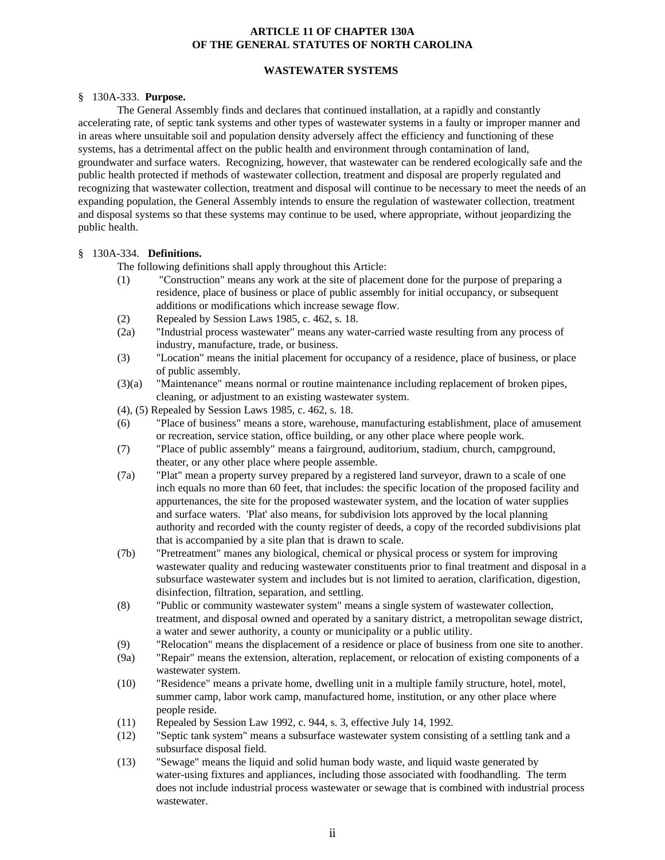# **ARTICLE 11 OF CHAPTER 130A OF THE GENERAL STATUTES OF NORTH CAROLINA**

# **WASTEWATER SYSTEMS**

#### § 130A-333. **Purpose.**

The General Assembly finds and declares that continued installation, at a rapidly and constantly accelerating rate, of septic tank systems and other types of wastewater systems in a faulty or improper manner and in areas where unsuitable soil and population density adversely affect the efficiency and functioning of these systems, has a detrimental affect on the public health and environment through contamination of land, groundwater and surface waters. Recognizing, however, that wastewater can be rendered ecologically safe and the public health protected if methods of wastewater collection, treatment and disposal are properly regulated and recognizing that wastewater collection, treatment and disposal will continue to be necessary to meet the needs of an expanding population, the General Assembly intends to ensure the regulation of wastewater collection, treatment and disposal systems so that these systems may continue to be used, where appropriate, without jeopardizing the public health.

#### § 130A-334. **Definitions.**

The following definitions shall apply throughout this Article:

- (1) "Construction" means any work at the site of placement done for the purpose of preparing a residence, place of business or place of public assembly for initial occupancy, or subsequent additions or modifications which increase sewage flow.
- (2) Repealed by Session Laws 1985, c. 462, s. 18.
- (2a) "Industrial process wastewater" means any water-carried waste resulting from any process of industry, manufacture, trade, or business.
- (3) "Location" means the initial placement for occupancy of a residence, place of business, or place of public assembly.
- (3)(a) "Maintenance" means normal or routine maintenance including replacement of broken pipes, cleaning, or adjustment to an existing wastewater system.
- (4), (5) Repealed by Session Laws 1985, c. 462, s. 18.
- (6) "Place of business" means a store, warehouse, manufacturing establishment, place of amusement or recreation, service station, office building, or any other place where people work.
- (7) "Place of public assembly" means a fairground, auditorium, stadium, church, campground, theater, or any other place where people assemble.
- (7a) "Plat" mean a property survey prepared by a registered land surveyor, drawn to a scale of one inch equals no more than 60 feet, that includes: the specific location of the proposed facility and appurtenances, the site for the proposed wastewater system, and the location of water supplies and surface waters. 'Plat' also means, for subdivision lots approved by the local planning authority and recorded with the county register of deeds, a copy of the recorded subdivisions plat that is accompanied by a site plan that is drawn to scale.
- (7b) "Pretreatment" manes any biological, chemical or physical process or system for improving wastewater quality and reducing wastewater constituents prior to final treatment and disposal in a subsurface wastewater system and includes but is not limited to aeration, clarification, digestion, disinfection, filtration, separation, and settling.
- (8) "Public or community wastewater system" means a single system of wastewater collection, treatment, and disposal owned and operated by a sanitary district, a metropolitan sewage district, a water and sewer authority, a county or municipality or a public utility.
- (9) "Relocation" means the displacement of a residence or place of business from one site to another.
- (9a) "Repair" means the extension, alteration, replacement, or relocation of existing components of a wastewater system.
- (10) "Residence" means a private home, dwelling unit in a multiple family structure, hotel, motel, summer camp, labor work camp, manufactured home, institution, or any other place where people reside.
- (11) Repealed by Session Law 1992, c. 944, s. 3, effective July 14, 1992.
- (12) "Septic tank system" means a subsurface wastewater system consisting of a settling tank and a subsurface disposal field.
- (13) "Sewage" means the liquid and solid human body waste, and liquid waste generated by water-using fixtures and appliances, including those associated with foodhandling. The term does not include industrial process wastewater or sewage that is combined with industrial process wastewater.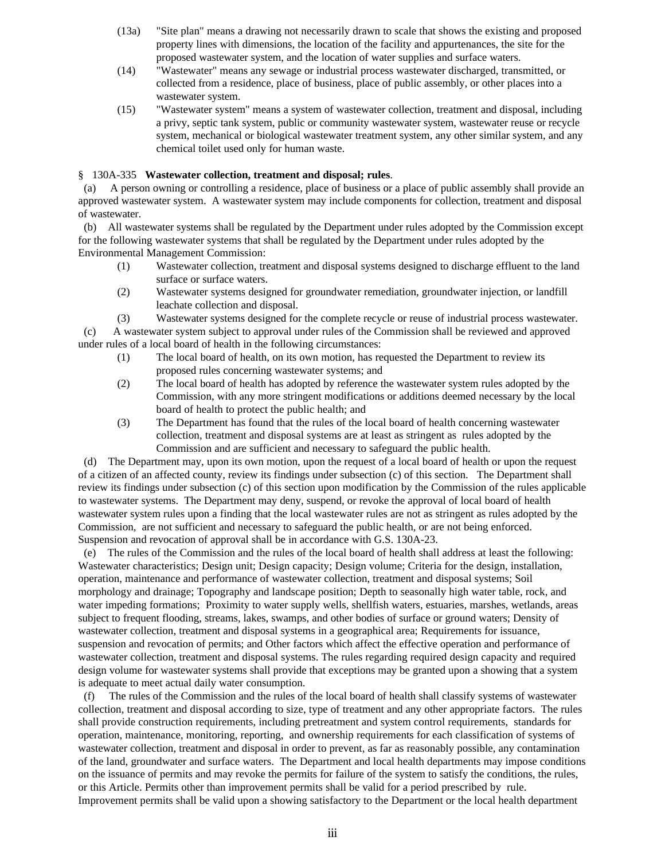- (13a) "Site plan" means a drawing not necessarily drawn to scale that shows the existing and proposed property lines with dimensions, the location of the facility and appurtenances, the site for the proposed wastewater system, and the location of water supplies and surface waters.
- (14) "Wastewater" means any sewage or industrial process wastewater discharged, transmitted, or collected from a residence, place of business, place of public assembly, or other places into a wastewater system.
- (15) "Wastewater system" means a system of wastewater collection, treatment and disposal, including a privy, septic tank system, public or community wastewater system, wastewater reuse or recycle system, mechanical or biological wastewater treatment system, any other similar system, and any chemical toilet used only for human waste.

### § 130A-335 **Wastewater collection, treatment and disposal; rules**.

 (a) A person owning or controlling a residence, place of business or a place of public assembly shall provide an approved wastewater system. A wastewater system may include components for collection, treatment and disposal of wastewater.

 (b) All wastewater systems shall be regulated by the Department under rules adopted by the Commission except for the following wastewater systems that shall be regulated by the Department under rules adopted by the Environmental Management Commission:

- (1) Wastewater collection, treatment and disposal systems designed to discharge effluent to the land surface or surface waters.
- (2) Wastewater systems designed for groundwater remediation, groundwater injection, or landfill leachate collection and disposal.

(3) Wastewater systems designed for the complete recycle or reuse of industrial process wastewater.

 (c) A wastewater system subject to approval under rules of the Commission shall be reviewed and approved under rules of a local board of health in the following circumstances:

- (1) The local board of health, on its own motion, has requested the Department to review its proposed rules concerning wastewater systems; and
- (2) The local board of health has adopted by reference the wastewater system rules adopted by the Commission, with any more stringent modifications or additions deemed necessary by the local board of health to protect the public health; and
- (3) The Department has found that the rules of the local board of health concerning wastewater collection, treatment and disposal systems are at least as stringent as rules adopted by the Commission and are sufficient and necessary to safeguard the public health.

 (d) The Department may, upon its own motion, upon the request of a local board of health or upon the request of a citizen of an affected county, review its findings under subsection (c) of this section. The Department shall review its findings under subsection (c) of this section upon modification by the Commission of the rules applicable to wastewater systems. The Department may deny, suspend, or revoke the approval of local board of health wastewater system rules upon a finding that the local wastewater rules are not as stringent as rules adopted by the Commission, are not sufficient and necessary to safeguard the public health, or are not being enforced. Suspension and revocation of approval shall be in accordance with G.S. 130A-23.

 (e) The rules of the Commission and the rules of the local board of health shall address at least the following: Wastewater characteristics; Design unit; Design capacity; Design volume; Criteria for the design, installation, operation, maintenance and performance of wastewater collection, treatment and disposal systems; Soil morphology and drainage; Topography and landscape position; Depth to seasonally high water table, rock, and water impeding formations; Proximity to water supply wells, shellfish waters, estuaries, marshes, wetlands, areas subject to frequent flooding, streams, lakes, swamps, and other bodies of surface or ground waters; Density of wastewater collection, treatment and disposal systems in a geographical area; Requirements for issuance, suspension and revocation of permits; and Other factors which affect the effective operation and performance of wastewater collection, treatment and disposal systems. The rules regarding required design capacity and required design volume for wastewater systems shall provide that exceptions may be granted upon a showing that a system is adequate to meet actual daily water consumption.

 (f) The rules of the Commission and the rules of the local board of health shall classify systems of wastewater collection, treatment and disposal according to size, type of treatment and any other appropriate factors. The rules shall provide construction requirements, including pretreatment and system control requirements, standards for operation, maintenance, monitoring, reporting, and ownership requirements for each classification of systems of wastewater collection, treatment and disposal in order to prevent, as far as reasonably possible, any contamination of the land, groundwater and surface waters. The Department and local health departments may impose conditions on the issuance of permits and may revoke the permits for failure of the system to satisfy the conditions, the rules, or this Article. Permits other than improvement permits shall be valid for a period prescribed by rule. Improvement permits shall be valid upon a showing satisfactory to the Department or the local health department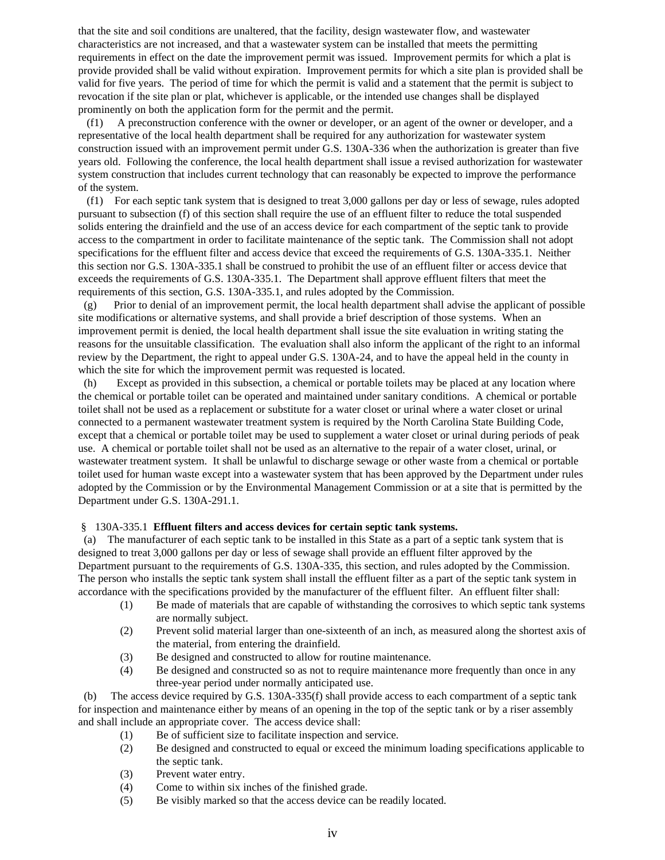that the site and soil conditions are unaltered, that the facility, design wastewater flow, and wastewater characteristics are not increased, and that a wastewater system can be installed that meets the permitting requirements in effect on the date the improvement permit was issued. Improvement permits for which a plat is provide provided shall be valid without expiration. Improvement permits for which a site plan is provided shall be valid for five years. The period of time for which the permit is valid and a statement that the permit is subject to revocation if the site plan or plat, whichever is applicable, or the intended use changes shall be displayed prominently on both the application form for the permit and the permit.

 (f1) A preconstruction conference with the owner or developer, or an agent of the owner or developer, and a representative of the local health department shall be required for any authorization for wastewater system construction issued with an improvement permit under G.S. 130A-336 when the authorization is greater than five years old. Following the conference, the local health department shall issue a revised authorization for wastewater system construction that includes current technology that can reasonably be expected to improve the performance of the system.

 (f1) For each septic tank system that is designed to treat 3,000 gallons per day or less of sewage, rules adopted pursuant to subsection (f) of this section shall require the use of an effluent filter to reduce the total suspended solids entering the drainfield and the use of an access device for each compartment of the septic tank to provide access to the compartment in order to facilitate maintenance of the septic tank. The Commission shall not adopt specifications for the effluent filter and access device that exceed the requirements of G.S. 130A-335.1. Neither this section nor G.S. 130A-335.1 shall be construed to prohibit the use of an effluent filter or access device that exceeds the requirements of G.S. 130A-335.1. The Department shall approve effluent filters that meet the requirements of this section, G.S. 130A-335.1, and rules adopted by the Commission.

 (g) Prior to denial of an improvement permit, the local health department shall advise the applicant of possible site modifications or alternative systems, and shall provide a brief description of those systems. When an improvement permit is denied, the local health department shall issue the site evaluation in writing stating the reasons for the unsuitable classification. The evaluation shall also inform the applicant of the right to an informal review by the Department, the right to appeal under G.S. 130A-24, and to have the appeal held in the county in which the site for which the improvement permit was requested is located.

 (h) Except as provided in this subsection, a chemical or portable toilets may be placed at any location where the chemical or portable toilet can be operated and maintained under sanitary conditions. A chemical or portable toilet shall not be used as a replacement or substitute for a water closet or urinal where a water closet or urinal connected to a permanent wastewater treatment system is required by the North Carolina State Building Code, except that a chemical or portable toilet may be used to supplement a water closet or urinal during periods of peak use. A chemical or portable toilet shall not be used as an alternative to the repair of a water closet, urinal, or wastewater treatment system. It shall be unlawful to discharge sewage or other waste from a chemical or portable toilet used for human waste except into a wastewater system that has been approved by the Department under rules adopted by the Commission or by the Environmental Management Commission or at a site that is permitted by the Department under G.S. 130A-291.1.

#### § 130A-335.1 **Effluent filters and access devices for certain septic tank systems.**

 (a) The manufacturer of each septic tank to be installed in this State as a part of a septic tank system that is designed to treat 3,000 gallons per day or less of sewage shall provide an effluent filter approved by the Department pursuant to the requirements of G.S. 130A-335, this section, and rules adopted by the Commission. The person who installs the septic tank system shall install the effluent filter as a part of the septic tank system in accordance with the specifications provided by the manufacturer of the effluent filter. An effluent filter shall:

- (1) Be made of materials that are capable of withstanding the corrosives to which septic tank systems are normally subject.
- (2) Prevent solid material larger than one-sixteenth of an inch, as measured along the shortest axis of the material, from entering the drainfield.
- (3) Be designed and constructed to allow for routine maintenance.
- (4) Be designed and constructed so as not to require maintenance more frequently than once in any three-year period under normally anticipated use.

The access device required by G.S. 130A-335(f) shall provide access to each compartment of a septic tank for inspection and maintenance either by means of an opening in the top of the septic tank or by a riser assembly and shall include an appropriate cover. The access device shall:

- (1) Be of sufficient size to facilitate inspection and service.
- (2) Be designed and constructed to equal or exceed the minimum loading specifications applicable to the septic tank.
- (3) Prevent water entry.
- (4) Come to within six inches of the finished grade.
- (5) Be visibly marked so that the access device can be readily located.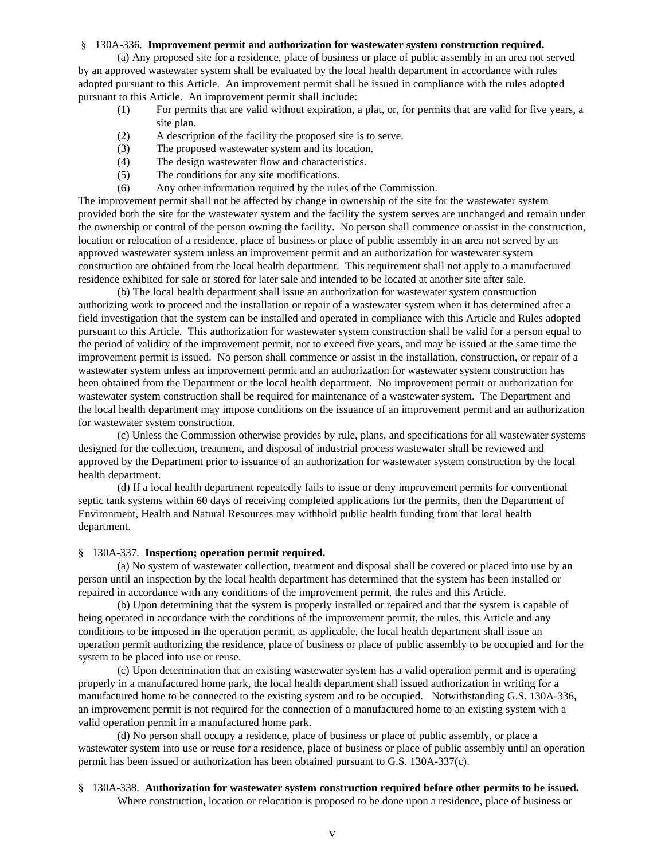# § 130A-336. **Improvement permit and authorization for wastewater system construction required.**

(a) Any proposed site for a residence, place of business or place of public assembly in an area not served by an approved wastewater system shall be evaluated by the local health department in accordance with rules adopted pursuant to this Article. An improvement permit shall be issued in compliance with the rules adopted pursuant to this Article. An improvement permit shall include:

- (1) For permits that are valid without expiration, a plat, or, for permits that are valid for five years, a site plan.
- (2) A description of the facility the proposed site is to serve.
- (3) The proposed wastewater system and its location.
- (4) The design wastewater flow and characteristics.
- (5) The conditions for any site modifications.
- (6) Any other information required by the rules of the Commission.

The improvement permit shall not be affected by change in ownership of the site for the wastewater system provided both the site for the wastewater system and the facility the system serves are unchanged and remain under the ownership or control of the person owning the facility. No person shall commence or assist in the construction, location or relocation of a residence, place of business or place of public assembly in an area not served by an approved wastewater system unless an improvement permit and an authorization for wastewater system construction are obtained from the local health department. This requirement shall not apply to a manufactured residence exhibited for sale or stored for later sale and intended to be located at another site after sale.

(b) The local health department shall issue an authorization for wastewater system construction authorizing work to proceed and the installation or repair of a wastewater system when it has determined after a field investigation that the system can be installed and operated in compliance with this Article and Rules adopted pursuant to this Article. This authorization for wastewater system construction shall be valid for a person equal to the period of validity of the improvement permit, not to exceed five years, and may be issued at the same time the improvement permit is issued. No person shall commence or assist in the installation, construction, or repair of a wastewater system unless an improvement permit and an authorization for wastewater system construction has been obtained from the Department or the local health department. No improvement permit or authorization for wastewater system construction shall be required for maintenance of a wastewater system. The Department and the local health department may impose conditions on the issuance of an improvement permit and an authorization for wastewater system construction.

(c) Unless the Commission otherwise provides by rule, plans, and specifications for all wastewater systems designed for the collection, treatment, and disposal of industrial process wastewater shall be reviewed and approved by the Department prior to issuance of an authorization for wastewater system construction by the local health department.

(d) If a local health department repeatedly fails to issue or deny improvement permits for conventional septic tank systems within 60 days of receiving completed applications for the permits, then the Department of Environment, Health and Natural Resources may withhold public health funding from that local health department.

#### § 130A-337. **Inspection; operation permit required.**

(a) No system of wastewater collection, treatment and disposal shall be covered or placed into use by an person until an inspection by the local health department has determined that the system has been installed or repaired in accordance with any conditions of the improvement permit, the rules and this Article.

(b) Upon determining that the system is properly installed or repaired and that the system is capable of being operated in accordance with the conditions of the improvement permit, the rules, this Article and any conditions to be imposed in the operation permit, as applicable, the local health department shall issue an operation permit authorizing the residence, place of business or place of public assembly to be occupied and for the system to be placed into use or reuse.

(c) Upon determination that an existing wastewater system has a valid operation permit and is operating properly in a manufactured home park, the local health department shall issued authorization in writing for a manufactured home to be connected to the existing system and to be occupied. Notwithstanding G.S. 130A-336, an improvement permit is not required for the connection of a manufactured home to an existing system with a valid operation permit in a manufactured home park.

(d) No person shall occupy a residence, place of business or place of public assembly, or place a wastewater system into use or reuse for a residence, place of business or place of public assembly until an operation permit has been issued or authorization has been obtained pursuant to G.S. 130A-337(c).

# § 130A-338. **Authorization for wastewater system construction required before other permits to be issued.**  Where construction, location or relocation is proposed to be done upon a residence, place of business or